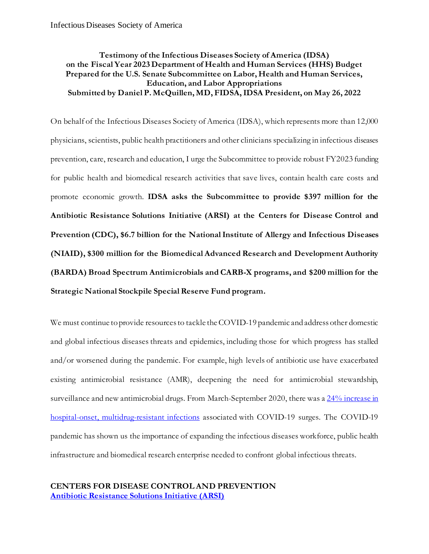# **Testimony of the Infectious Diseases Society of America (IDSA) on the Fiscal Year 2023 Department of Health and Human Services (HHS) Budget Prepared for the U.S. Senate Subcommittee on Labor, Health and Human Services, Education, and Labor Appropriations Submitted by Daniel P. McQuillen, MD, FIDSA, IDSA President, on May 26, 2022**

On behalf of the Infectious Diseases Society of America (IDSA), which represents more than 12,000 physicians, scientists, public health practitioners and other clinicians specializing in infectious diseases prevention, care, research and education, I urge the Subcommittee to provide robust FY2023 funding for public health and biomedical research activities that save lives, contain health care costs and promote economic growth. **IDSA asks the Subcommittee to provide \$397 million for the Antibiotic Resistance Solutions Initiative (ARSI) at the Centers for Disease Control and Prevention (CDC), \$6.7 billion for the National Institute of Allergy and Infectious Diseases (NIAID), \$300 million for the Biomedical Advanced Research and Development Authority (BARDA) Broad Spectrum Antimicrobials and CARB-X programs, and \$200 million for the Strategic National Stockpile Special Reserve Fund program.**

We must continue to provide resources to tackle the COVID-19 pandemic and address other domestic and global infectious diseases threats and epidemics, including those for which progress has stalled and/or worsened during the pandemic. For example, high levels of antibiotic use have exacerbated existing antimicrobial resistance (AMR), deepening the need for antimicrobial stewardship, surveillance and new antimicrobial drugs. From March-September 2020, there was a 24% increase in hospital-onset, [multidrug-resistant infections](https://emergency.cdc.gov/coca/ppt/2021/111821_slide.pdf) associated with COVID-19 surges. The COVID-19 pandemic has shown us the importance of expanding the infectious diseases workforce, public health infrastructure and biomedical research enterprise needed to confront global infectious threats.

# **CENTERS FOR DISEASE CONTROL AND PREVENTION [Antibiotic Resistance Solutions Initiative](https://www.cdc.gov/drugresistance/solutions-initiative/index.html) (ARSI)**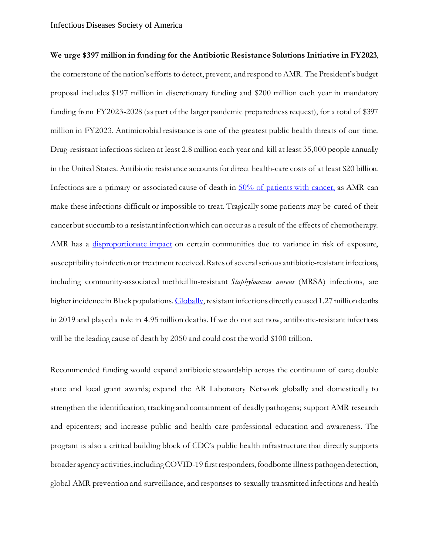**We urge \$397 million in funding for the Antibiotic Resistance Solutions Initiative in FY2023**, the cornerstone of the nation's efforts to detect, prevent, and respond to AMR. The President's budget proposal includes \$197 million in discretionary funding and \$200 million each year in mandatory funding from FY2023-2028 (as part of the larger pandemic preparedness request), for a total of \$397 million in FY2023. Antimicrobial resistance is one of the greatest public health threats of our time. Drug-resistant infections sicken at least 2.8 million each year and kill at least 35,000 people annually in the United States. Antibiotic resistance accounts for direct health-care costs of at least \$20 billion. Infections are a primary or associated cause of death in [50% of patients with cancer,](https://acsjournals.onlinelibrary.wiley.com/doi/full/10.3322/caac.21697) as AMR can make these infections difficult or impossible to treat. Tragically some patients may be cured of their cancer but succumb to a resistant infection which can occur as a result of the effects of chemotherapy. AMR has a [disproportionate impact](https://www.cdc.gov/drugresistance/pdf/Health-Equity-Antibiotic-Resistance-FS-508.pdf) on certain communities due to variance in risk of exposure, susceptibility to infection or treatment received. Rates of several serious antibiotic-resistant infections, including community-associated methicillin-resistant *Staphylococcus aureus* (MRSA) infections, are higher incidence in Black populations. Globally, resistant infections directly caused 1.27 million deaths in 2019 and played a role in 4.95 million deaths. If we do not act now, antibiotic-resistant infections will be the leading cause of death by 2050 and could cost the world \$100 trillion.

Recommended funding would expand antibiotic stewardship across the continuum of care; double state and local grant awards; expand the AR Laboratory Network globally and domestically to strengthen the identification, tracking and containment of deadly pathogens; support AMR research and epicenters; and increase public and health care professional education and awareness. The program is also a critical building block of CDC's public health infrastructure that directly supports broader agency activities, including COVID-19 first responders, foodborne illness pathogen detection, global AMR prevention and surveillance, and responses to sexually transmitted infections and health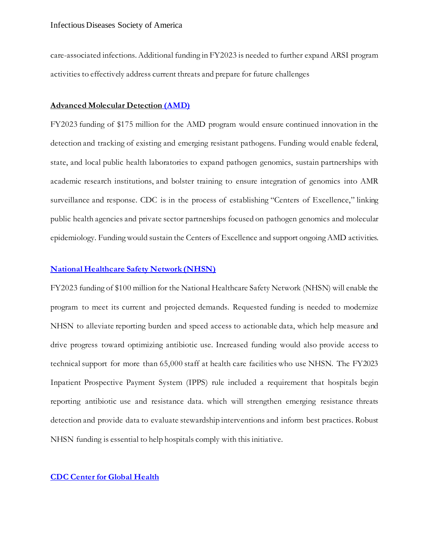care-associated infections.Additional funding in FY2023 is needed to further expand ARSI program activities to effectively address current threats and prepare for future challenges

#### **Advanced Molecular Detection [\(AMD\)](https://www.cdc.gov/amd/index.html)**

FY2023 funding of \$175 million for the AMD program would ensure continued innovation in the detection and tracking of existing and emerging resistant pathogens. Funding would enable federal, state, and local public health laboratories to expand pathogen genomics, sustain partnerships with academic research institutions, and bolster training to ensure integration of genomics into AMR surveillance and response. CDC is in the process of establishing "Centers of Excellence," linking public health agencies and private sector partnerships focused on pathogen genomics and molecular epidemiology. Funding would sustain the Centers of Excellence and support ongoing AMD activities.

## **[National Healthcare Safety Network](https://www.cdc.gov/nhsn/index.html) (NHSN)**

FY2023 funding of \$100 million for the National Healthcare Safety Network (NHSN) will enable the program to meet its current and projected demands. Requested funding is needed to modernize NHSN to alleviate reporting burden and speed access to actionable data, which help measure and drive progress toward optimizing antibiotic use. Increased funding would also provide access to technical support for more than 65,000 staff at health care facilities who use NHSN. The FY2023 Inpatient Prospective Payment System (IPPS) rule included a requirement that hospitals begin reporting antibiotic use and resistance data. which will strengthen emerging resistance threats detection and provide data to evaluate stewardship interventions and inform best practices. Robust NHSN funding is essential to help hospitals comply with this initiative.

### **CDC Center for [Global Health](https://www.cdc.gov/globalhealth/index.html)**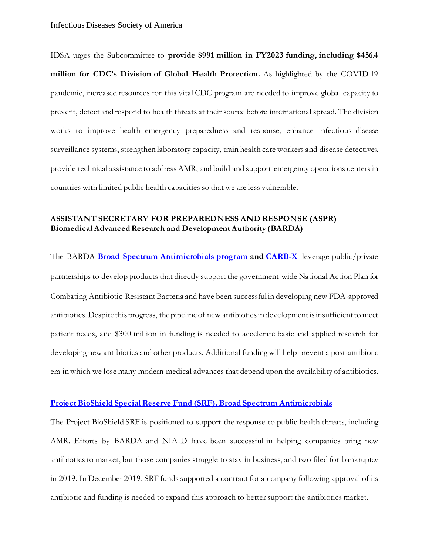IDSA urges the Subcommittee to **provide \$991 million in FY2023 funding, including \$456.4 million for CDC's Division of Global Health Protection.** As highlighted by the COVID-19 pandemic, increased resources for this vital CDC program are needed to improve global capacity to prevent, detect and respond to health threats at their source before international spread. The division works to improve health emergency preparedness and response, enhance infectious disease surveillance systems, strengthen laboratory capacity, train health care workers and disease detectives, provide technical assistance to address AMR, and build and support emergency operations centers in countries with limited public health capacities so that we are less vulnerable.

## **ASSISTANT SECRETARY FOR PREPAREDNESS AND RESPONSE (ASPR) Biomedical Advanced Research and Development Authority (BARDA)**

The BARDA **[Broad Spectrum Antimicrobials](https://www.medicalcountermeasures.gov/barda/cbrn/broad-spectrum-antimicrobials/) program and [CARB-X](https://carb-x.org/)** leverage public/private partnerships to develop products that directly support the government-wide National Action Plan for Combating Antibiotic‐Resistant Bacteria and have been successful in developing new FDA-approved antibiotics. Despite this progress, the pipeline of new antibiotics in development is insufficient to meet patient needs, and \$300 million in funding is needed to accelerate basic and applied research for developing new antibiotics and other products. Additional funding will help prevent a post-antibiotic era in which we lose many modern medical advances that depend upon the availability of antibiotics.

#### **[Project BioShield Special Reserve Fund \(SRF\), Broad Spectrum Antimicrobials](https://www.medicalcountermeasures.gov/barda/cbrn/project-bioshield)**

The Project BioShield SRF is positioned to support the response to public health threats, including AMR. Efforts by BARDA and NIAID have been successful in helping companies bring new antibiotics to market, but those companies struggle to stay in business, and two filed for bankruptcy in 2019. In December 2019, SRF funds supported a contract for a company following approval of its antibiotic and funding is needed to expand this approach to better support the antibiotics market.